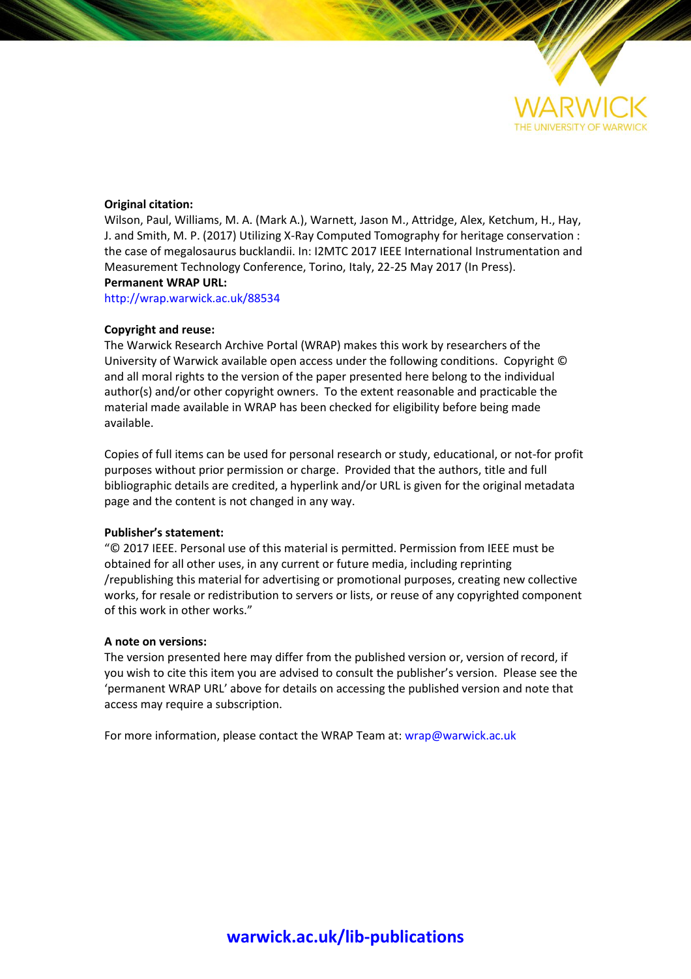

# **Original citation:**

Wilson, Paul, Williams, M. A. (Mark A.), Warnett, Jason M., Attridge, Alex, Ketchum, H., Hay, J. and Smith, M. P. (2017) Utilizing X-Ray Computed Tomography for heritage conservation : the case of megalosaurus bucklandii. In: I2MTC 2017 IEEE International Instrumentation and Measurement Technology Conference, Torino, Italy, 22-25 May 2017 (In Press). **Permanent WRAP URL:**

<http://wrap.warwick.ac.uk/88534>

# **Copyright and reuse:**

The Warwick Research Archive Portal (WRAP) makes this work by researchers of the University of Warwick available open access under the following conditions. Copyright © and all moral rights to the version of the paper presented here belong to the individual author(s) and/or other copyright owners. To the extent reasonable and practicable the material made available in WRAP has been checked for eligibility before being made available.

Copies of full items can be used for personal research or study, educational, or not-for profit purposes without prior permission or charge. Provided that the authors, title and full bibliographic details are credited, a hyperlink and/or URL is given for the original metadata page and the content is not changed in any way.

# **Publisher's statement:**

"© 2017 IEEE. Personal use of this material is permitted. Permission from IEEE must be obtained for all other uses, in any current or future media, including reprinting /republishing this material for advertising or promotional purposes, creating new collective works, for resale or redistribution to servers or lists, or reuse of any copyrighted component of this work in other works."

# **A note on versions:**

The version presented here may differ from the published version or, version of record, if you wish to cite this item you are advised to consult the publisher's version. Please see the 'permanent WRAP URL' above for details on accessing the published version and note that access may require a subscription.

For more information, please contact the WRAP Team at[: wrap@warwick.ac.uk](mailto:wrap@warwick.ac.uk)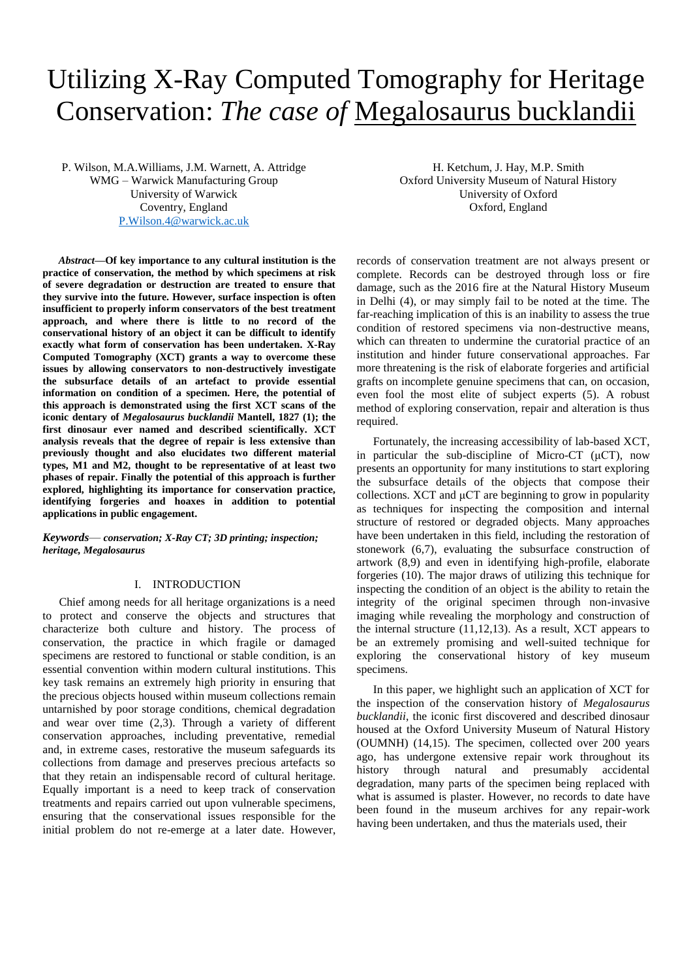# Utilizing X-Ray Computed Tomography for Heritage Conservation: *The case of* Megalosaurus bucklandii

P. Wilson, M.A.Williams, J.M. Warnett, A. Attridge WMG – Warwick Manufacturing Group University of Warwick Coventry, England [P.Wilson.4@warwick.ac.uk](mailto:P.Wilson.4@warwick.ac.uk)

*Abstract***—Of key importance to any cultural institution is the practice of conservation, the method by which specimens at risk of severe degradation or destruction are treated to ensure that they survive into the future. However, surface inspection is often insufficient to properly inform conservators of the best treatment approach, and where there is little to no record of the conservational history of an object it can be difficult to identify exactly what form of conservation has been undertaken. X-Ray Computed Tomography (XCT) grants a way to overcome these issues by allowing conservators to non-destructively investigate the subsurface details of an artefact to provide essential information on condition of a specimen. Here, the potential of this approach is demonstrated using the first XCT scans of the iconic dentary of** *Megalosaurus bucklandii* **Mantell, 1827 (1); the first dinosaur ever named and described scientifically. XCT analysis reveals that the degree of repair is less extensive than previously thought and also elucidates two different material types, M1 and M2, thought to be representative of at least two phases of repair. Finally the potential of this approach is further explored, highlighting its importance for conservation practice, identifying forgeries and hoaxes in addition to potential applications in public engagement.** 

*Keywords*— *conservation; X-Ray CT; 3D printing; inspection; heritage, Megalosaurus*

## I. INTRODUCTION

Chief among needs for all heritage organizations is a need to protect and conserve the objects and structures that characterize both culture and history. The process of conservation, the practice in which fragile or damaged specimens are restored to functional or stable condition, is an essential convention within modern cultural institutions. This key task remains an extremely high priority in ensuring that the precious objects housed within museum collections remain untarnished by poor storage conditions, chemical degradation and wear over time (2,3). Through a variety of different conservation approaches, including preventative, remedial and, in extreme cases, restorative the museum safeguards its collections from damage and preserves precious artefacts so that they retain an indispensable record of cultural heritage. Equally important is a need to keep track of conservation treatments and repairs carried out upon vulnerable specimens, ensuring that the conservational issues responsible for the initial problem do not re-emerge at a later date. However,

H. Ketchum, J. Hay, M.P. Smith Oxford University Museum of Natural History University of Oxford Oxford, England

records of conservation treatment are not always present or complete. Records can be destroyed through loss or fire damage, such as the 2016 fire at the Natural History Museum in Delhi (4), or may simply fail to be noted at the time. The far-reaching implication of this is an inability to assess the true condition of restored specimens via non-destructive means, which can threaten to undermine the curatorial practice of an institution and hinder future conservational approaches. Far more threatening is the risk of elaborate forgeries and artificial grafts on incomplete genuine specimens that can, on occasion, even fool the most elite of subject experts (5). A robust method of exploring conservation, repair and alteration is thus required.

Fortunately, the increasing accessibility of lab-based XCT, in particular the sub-discipline of Micro-CT  $(\mu$ CT), now presents an opportunity for many institutions to start exploring the subsurface details of the objects that compose their collections. XCT and μCT are beginning to grow in popularity as techniques for inspecting the composition and internal structure of restored or degraded objects. Many approaches have been undertaken in this field, including the restoration of stonework (6,7), evaluating the subsurface construction of artwork (8,9) and even in identifying high-profile, elaborate forgeries (10). The major draws of utilizing this technique for inspecting the condition of an object is the ability to retain the integrity of the original specimen through non-invasive imaging while revealing the morphology and construction of the internal structure (11,12,13). As a result, XCT appears to be an extremely promising and well-suited technique for exploring the conservational history of key museum specimens.

In this paper, we highlight such an application of XCT for the inspection of the conservation history of *Megalosaurus bucklandii*, the iconic first discovered and described dinosaur housed at the Oxford University Museum of Natural History (OUMNH) (14,15). The specimen, collected over 200 years ago, has undergone extensive repair work throughout its history through natural and presumably accidental degradation, many parts of the specimen being replaced with what is assumed is plaster. However, no records to date have been found in the museum archives for any repair-work having been undertaken, and thus the materials used, their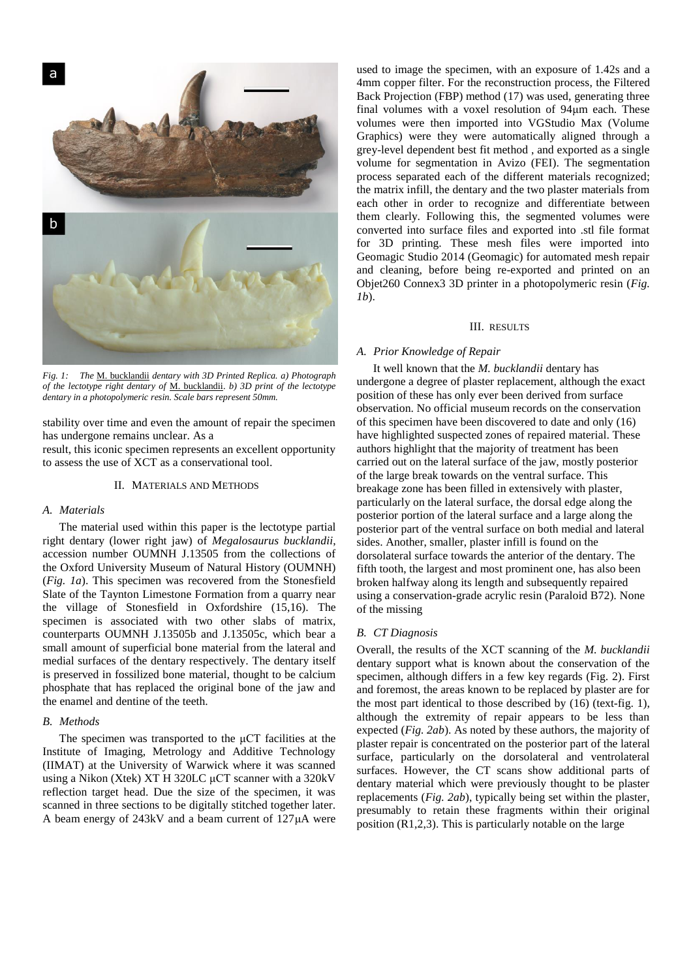

*Fig. 1: The* M. bucklandii *dentary with 3D Printed Replica. a) Photograph of the lectotype right dentary of* M. bucklandii. *b) 3D print of the lectotype dentary in a photopolymeric resin. Scale bars represent 50mm.*

stability over time and even the amount of repair the specimen has undergone remains unclear. As a

result, this iconic specimen represents an excellent opportunity to assess the use of XCT as a conservational tool.

#### II. MATERIALS AND METHODS

#### *A. Materials*

The material used within this paper is the lectotype partial right dentary (lower right jaw) of *Megalosaurus bucklandii*, accession number OUMNH J.13505 from the collections of the Oxford University Museum of Natural History (OUMNH) (*Fig. 1a*). This specimen was recovered from the Stonesfield Slate of the Taynton Limestone Formation from a quarry near the village of Stonesfield in Oxfordshire (15,16). The specimen is associated with two other slabs of matrix, counterparts OUMNH J.13505b and J.13505c, which bear a small amount of superficial bone material from the lateral and medial surfaces of the dentary respectively. The dentary itself is preserved in fossilized bone material, thought to be calcium phosphate that has replaced the original bone of the jaw and the enamel and dentine of the teeth.

#### *B. Methods*

The specimen was transported to the μCT facilities at the Institute of Imaging, Metrology and Additive Technology (IIMAT) at the University of Warwick where it was scanned using a Nikon (Xtek) XT H 320LC μCT scanner with a 320kV reflection target head. Due the size of the specimen, it was scanned in three sections to be digitally stitched together later. A beam energy of 243kV and a beam current of 127μA were

used to image the specimen, with an exposure of 1.42s and a 4mm copper filter. For the reconstruction process, the Filtered Back Projection (FBP) method (17) was used, generating three final volumes with a voxel resolution of 94μm each. These volumes were then imported into VGStudio Max (Volume Graphics) were they were automatically aligned through a grey-level dependent best fit method , and exported as a single volume for segmentation in Avizo (FEI). The segmentation process separated each of the different materials recognized; the matrix infill, the dentary and the two plaster materials from each other in order to recognize and differentiate between them clearly. Following this, the segmented volumes were converted into surface files and exported into .stl file format for 3D printing. These mesh files were imported into Geomagic Studio 2014 (Geomagic) for automated mesh repair and cleaning, before being re-exported and printed on an Objet260 Connex3 3D printer in a photopolymeric resin (*Fig. 1b*).

#### III. RESULTS

#### *A. Prior Knowledge of Repair*

It well known that the *M. bucklandii* dentary has undergone a degree of plaster replacement, although the exact position of these has only ever been derived from surface observation. No official museum records on the conservation of this specimen have been discovered to date and only (16) have highlighted suspected zones of repaired material. These authors highlight that the majority of treatment has been carried out on the lateral surface of the jaw, mostly posterior of the large break towards on the ventral surface. This breakage zone has been filled in extensively with plaster, particularly on the lateral surface, the dorsal edge along the posterior portion of the lateral surface and a large along the posterior part of the ventral surface on both medial and lateral sides. Another, smaller, plaster infill is found on the dorsolateral surface towards the anterior of the dentary. The fifth tooth, the largest and most prominent one, has also been broken halfway along its length and subsequently repaired using a conservation-grade acrylic resin (Paraloid B72). None of the missing

## *B. CT Diagnosis*

Overall, the results of the XCT scanning of the *M. bucklandii*  dentary support what is known about the conservation of the specimen, although differs in a few key regards (Fig. 2). First and foremost, the areas known to be replaced by plaster are for the most part identical to those described by (16) (text-fig. 1), although the extremity of repair appears to be less than expected (*Fig. 2ab*). As noted by these authors, the majority of plaster repair is concentrated on the posterior part of the lateral surface, particularly on the dorsolateral and ventrolateral surfaces. However, the CT scans show additional parts of dentary material which were previously thought to be plaster replacements (*Fig. 2ab*), typically being set within the plaster, presumably to retain these fragments within their original position (R1,2,3). This is particularly notable on the large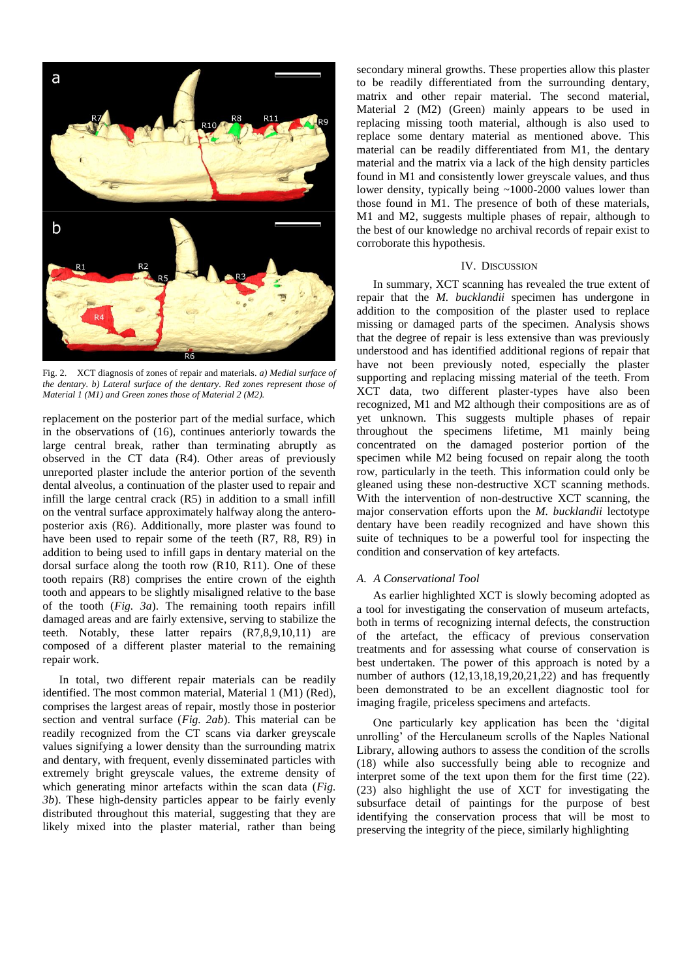

Fig. 2. XCT diagnosis of zones of repair and materials. *a) Medial surface of the dentary. b) Lateral surface of the dentary. Red zones represent those of Material 1 (M1) and Green zones those of Material 2 (M2).*

replacement on the posterior part of the medial surface, which in the observations of (16), continues anteriorly towards the large central break, rather than terminating abruptly as observed in the CT data (R4). Other areas of previously unreported plaster include the anterior portion of the seventh dental alveolus, a continuation of the plaster used to repair and infill the large central crack (R5) in addition to a small infill on the ventral surface approximately halfway along the anteroposterior axis (R6). Additionally, more plaster was found to have been used to repair some of the teeth (R7, R8, R9) in addition to being used to infill gaps in dentary material on the dorsal surface along the tooth row (R10, R11). One of these tooth repairs (R8) comprises the entire crown of the eighth tooth and appears to be slightly misaligned relative to the base of the tooth (*Fig. 3a*). The remaining tooth repairs infill damaged areas and are fairly extensive, serving to stabilize the teeth. Notably, these latter repairs (R7,8,9,10,11) are composed of a different plaster material to the remaining repair work.

In total, two different repair materials can be readily identified. The most common material, Material 1 (M1) (Red), comprises the largest areas of repair, mostly those in posterior section and ventral surface (*Fig. 2ab*). This material can be readily recognized from the CT scans via darker greyscale values signifying a lower density than the surrounding matrix and dentary, with frequent, evenly disseminated particles with extremely bright greyscale values, the extreme density of which generating minor artefacts within the scan data (*Fig. 3b*). These high-density particles appear to be fairly evenly distributed throughout this material, suggesting that they are likely mixed into the plaster material, rather than being

secondary mineral growths. These properties allow this plaster to be readily differentiated from the surrounding dentary, matrix and other repair material. The second material, Material 2 (M2) (Green) mainly appears to be used in replacing missing tooth material, although is also used to replace some dentary material as mentioned above. This material can be readily differentiated from M1, the dentary material and the matrix via a lack of the high density particles found in M1 and consistently lower greyscale values, and thus lower density, typically being ~1000-2000 values lower than those found in M1. The presence of both of these materials, M1 and M2, suggests multiple phases of repair, although to the best of our knowledge no archival records of repair exist to corroborate this hypothesis.

#### IV. DISCUSSION

In summary, XCT scanning has revealed the true extent of repair that the *M. bucklandii* specimen has undergone in addition to the composition of the plaster used to replace missing or damaged parts of the specimen. Analysis shows that the degree of repair is less extensive than was previously understood and has identified additional regions of repair that have not been previously noted, especially the plaster supporting and replacing missing material of the teeth. From XCT data, two different plaster-types have also been recognized, M1 and M2 although their compositions are as of yet unknown. This suggests multiple phases of repair throughout the specimens lifetime, M1 mainly being concentrated on the damaged posterior portion of the specimen while M2 being focused on repair along the tooth row, particularly in the teeth. This information could only be gleaned using these non-destructive XCT scanning methods. With the intervention of non-destructive XCT scanning, the major conservation efforts upon the *M. bucklandii* lectotype dentary have been readily recognized and have shown this suite of techniques to be a powerful tool for inspecting the condition and conservation of key artefacts.

#### *A. A Conservational Tool*

As earlier highlighted XCT is slowly becoming adopted as a tool for investigating the conservation of museum artefacts, both in terms of recognizing internal defects, the construction of the artefact, the efficacy of previous conservation treatments and for assessing what course of conservation is best undertaken. The power of this approach is noted by a number of authors (12,13,18,19,20,21,22) and has frequently been demonstrated to be an excellent diagnostic tool for imaging fragile, priceless specimens and artefacts.

One particularly key application has been the 'digital unrolling' of the Herculaneum scrolls of the Naples National Library, allowing authors to assess the condition of the scrolls (18) while also successfully being able to recognize and interpret some of the text upon them for the first time (22). (23) also highlight the use of XCT for investigating the subsurface detail of paintings for the purpose of best identifying the conservation process that will be most to preserving the integrity of the piece, similarly highlighting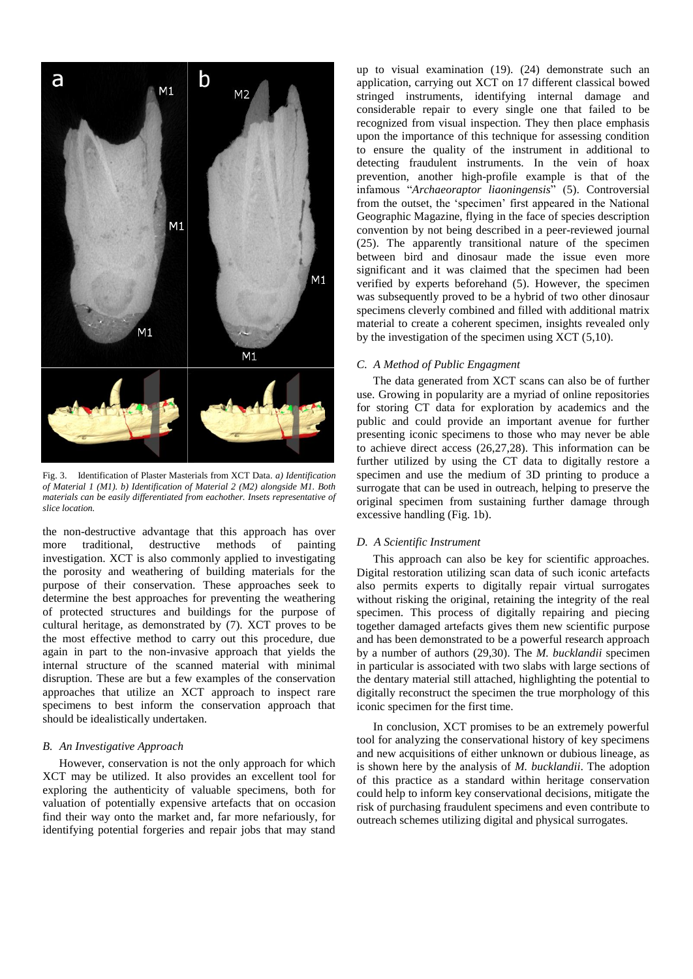

Fig. 3. Identification of Plaster Masterials from XCT Data. *a) Identification of Material 1 (M1). b) Identification of Material 2 (M2) alongside M1. Both materials can be easily differentiated from eachother. Insets representative of slice location.*

the non-destructive advantage that this approach has over more traditional, destructive methods of painting investigation. XCT is also commonly applied to investigating the porosity and weathering of building materials for the purpose of their conservation. These approaches seek to determine the best approaches for preventing the weathering of protected structures and buildings for the purpose of cultural heritage, as demonstrated by (7). XCT proves to be the most effective method to carry out this procedure, due again in part to the non-invasive approach that yields the internal structure of the scanned material with minimal disruption. These are but a few examples of the conservation approaches that utilize an XCT approach to inspect rare specimens to best inform the conservation approach that should be idealistically undertaken.

#### *B. An Investigative Approach*

However, conservation is not the only approach for which XCT may be utilized. It also provides an excellent tool for exploring the authenticity of valuable specimens, both for valuation of potentially expensive artefacts that on occasion find their way onto the market and, far more nefariously, for identifying potential forgeries and repair jobs that may stand

up to visual examination (19). (24) demonstrate such an application, carrying out XCT on 17 different classical bowed stringed instruments, identifying internal damage and considerable repair to every single one that failed to be recognized from visual inspection. They then place emphasis upon the importance of this technique for assessing condition to ensure the quality of the instrument in additional to detecting fraudulent instruments. In the vein of hoax prevention, another high-profile example is that of the infamous "*Archaeoraptor liaoningensis*" (5). Controversial from the outset, the 'specimen' first appeared in the National Geographic Magazine, flying in the face of species description convention by not being described in a peer-reviewed journal (25). The apparently transitional nature of the specimen between bird and dinosaur made the issue even more significant and it was claimed that the specimen had been verified by experts beforehand (5). However, the specimen was subsequently proved to be a hybrid of two other dinosaur specimens cleverly combined and filled with additional matrix material to create a coherent specimen, insights revealed only by the investigation of the specimen using XCT (5,10).

## *C. A Method of Public Engagment*

The data generated from XCT scans can also be of further use. Growing in popularity are a myriad of online repositories for storing CT data for exploration by academics and the public and could provide an important avenue for further presenting iconic specimens to those who may never be able to achieve direct access (26,27,28). This information can be further utilized by using the CT data to digitally restore a specimen and use the medium of 3D printing to produce a surrogate that can be used in outreach, helping to preserve the original specimen from sustaining further damage through excessive handling (Fig. 1b).

## *D. A Scientific Instrument*

This approach can also be key for scientific approaches. Digital restoration utilizing scan data of such iconic artefacts also permits experts to digitally repair virtual surrogates without risking the original, retaining the integrity of the real specimen. This process of digitally repairing and piecing together damaged artefacts gives them new scientific purpose and has been demonstrated to be a powerful research approach by a number of authors (29,30). The *M. bucklandii* specimen in particular is associated with two slabs with large sections of the dentary material still attached, highlighting the potential to digitally reconstruct the specimen the true morphology of this iconic specimen for the first time.

In conclusion, XCT promises to be an extremely powerful tool for analyzing the conservational history of key specimens and new acquisitions of either unknown or dubious lineage, as is shown here by the analysis of *M. bucklandii*. The adoption of this practice as a standard within heritage conservation could help to inform key conservational decisions, mitigate the risk of purchasing fraudulent specimens and even contribute to outreach schemes utilizing digital and physical surrogates.